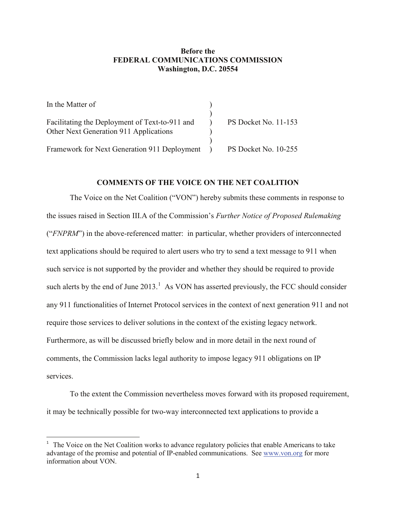## **Before the FEDERAL COMMUNICATIONS COMMISSION Washington, D.C. 20554**

| In the Matter of                               |                             |
|------------------------------------------------|-----------------------------|
|                                                |                             |
| Facilitating the Deployment of Text-to-911 and | <b>PS Docket No. 11-153</b> |
| Other Next Generation 911 Applications         |                             |
|                                                |                             |
| Framework for Next Generation 911 Deployment   | PS Docket No. 10-255        |

## **COMMENTS OF THE VOICE ON THE NET COALITION**

The Voice on the Net Coalition ("VON") hereby submits these comments in response to the issues raised in Section III.A of the Commission's *Further Notice of Proposed Rulemaking* ("*FNPRM*") in the above-referenced matter: in particular, whether providers of interconnected text applications should be required to alert users who try to send a text message to 911 when such service is not supported by the provider and whether they should be required to provide such alerts by the end of June  $2013<sup>1</sup>$  $2013<sup>1</sup>$  $2013<sup>1</sup>$ . As VON has asserted previously, the FCC should consider any 911 functionalities of Internet Protocol services in the context of next generation 911 and not require those services to deliver solutions in the context of the existing legacy network. Furthermore, as will be discussed briefly below and in more detail in the next round of comments, the Commission lacks legal authority to impose legacy 911 obligations on IP services.

To the extent the Commission nevertheless moves forward with its proposed requirement, it may be technically possible for two-way interconnected text applications to provide a

<span id="page-0-0"></span> $\overline{1}$  $1$  The Voice on the Net Coalition works to advance regulatory policies that enable Americans to take advantage of the promise and potential of IP-enabled communications. See [www.von.org](http://www.von.org/) for more information about VON.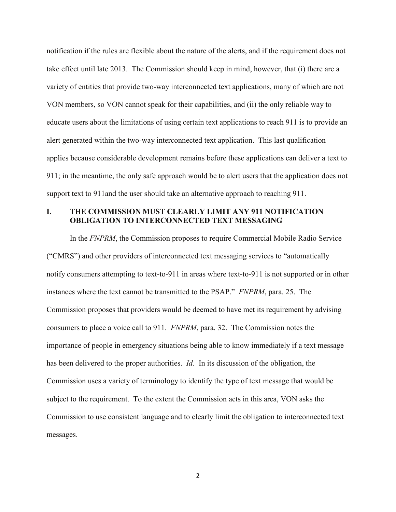notification if the rules are flexible about the nature of the alerts, and if the requirement does not take effect until late 2013. The Commission should keep in mind, however, that (i) there are a variety of entities that provide two-way interconnected text applications, many of which are not VON members, so VON cannot speak for their capabilities, and (ii) the only reliable way to educate users about the limitations of using certain text applications to reach 911 is to provide an alert generated within the two-way interconnected text application. This last qualification applies because considerable development remains before these applications can deliver a text to 911; in the meantime, the only safe approach would be to alert users that the application does not support text to 911and the user should take an alternative approach to reaching 911.

## **I. THE COMMISSION MUST CLEARLY LIMIT ANY 911 NOTIFICATION OBLIGATION TO INTERCONNECTED TEXT MESSAGING**

In the *FNPRM*, the Commission proposes to require Commercial Mobile Radio Service ("CMRS") and other providers of interconnected text messaging services to "automatically notify consumers attempting to text-to-911 in areas where text-to-911 is not supported or in other instances where the text cannot be transmitted to the PSAP." *FNPRM*, para. 25. The Commission proposes that providers would be deemed to have met its requirement by advising consumers to place a voice call to 911. *FNPRM*, para. 32. The Commission notes the importance of people in emergency situations being able to know immediately if a text message has been delivered to the proper authorities. *Id.* In its discussion of the obligation, the Commission uses a variety of terminology to identify the type of text message that would be subject to the requirement. To the extent the Commission acts in this area, VON asks the Commission to use consistent language and to clearly limit the obligation to interconnected text messages.

2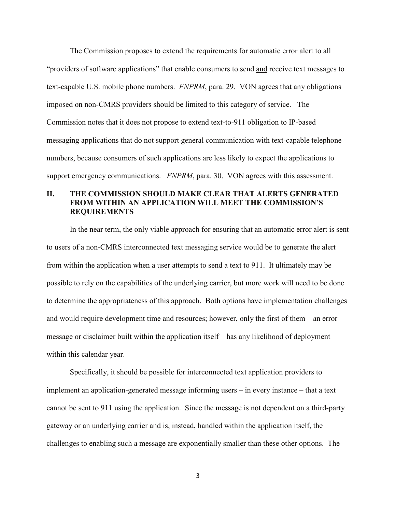The Commission proposes to extend the requirements for automatic error alert to all "providers of software applications" that enable consumers to send and receive text messages to text-capable U.S. mobile phone numbers. *FNPRM*, para. 29. VON agrees that any obligations imposed on non-CMRS providers should be limited to this category of service. The Commission notes that it does not propose to extend text-to-911 obligation to IP-based messaging applications that do not support general communication with text-capable telephone numbers, because consumers of such applications are less likely to expect the applications to support emergency communications. *FNPRM*, para. 30. VON agrees with this assessment.

## **II. THE COMMISSION SHOULD MAKE CLEAR THAT ALERTS GENERATED FROM WITHIN AN APPLICATION WILL MEET THE COMMISSION'S REQUIREMENTS**

In the near term, the only viable approach for ensuring that an automatic error alert is sent to users of a non-CMRS interconnected text messaging service would be to generate the alert from within the application when a user attempts to send a text to 911. It ultimately may be possible to rely on the capabilities of the underlying carrier, but more work will need to be done to determine the appropriateness of this approach. Both options have implementation challenges and would require development time and resources; however, only the first of them – an error message or disclaimer built within the application itself – has any likelihood of deployment within this calendar year.

Specifically, it should be possible for interconnected text application providers to implement an application-generated message informing users – in every instance – that a text cannot be sent to 911 using the application. Since the message is not dependent on a third-party gateway or an underlying carrier and is, instead, handled within the application itself, the challenges to enabling such a message are exponentially smaller than these other options. The

3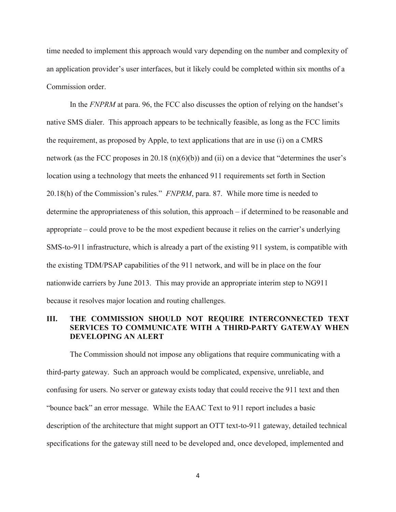time needed to implement this approach would vary depending on the number and complexity of an application provider's user interfaces, but it likely could be completed within six months of a Commission order.

In the *FNPRM* at para. 96, the FCC also discusses the option of relying on the handset's native SMS dialer. This approach appears to be technically feasible, as long as the FCC limits the requirement, as proposed by Apple, to text applications that are in use (i) on a CMRS network (as the FCC proposes in 20.18 (n)(6)(b)) and (ii) on a device that "determines the user's location using a technology that meets the enhanced 911 requirements set forth in Section 20.18(h) of the Commission's rules." *FNPRM*, para. 87. While more time is needed to determine the appropriateness of this solution, this approach – if determined to be reasonable and appropriate – could prove to be the most expedient because it relies on the carrier's underlying SMS-to-911 infrastructure, which is already a part of the existing 911 system, is compatible with the existing TDM/PSAP capabilities of the 911 network, and will be in place on the four nationwide carriers by June 2013. This may provide an appropriate interim step to NG911 because it resolves major location and routing challenges.

## **III. THE COMMISSION SHOULD NOT REQUIRE INTERCONNECTED TEXT SERVICES TO COMMUNICATE WITH A THIRD-PARTY GATEWAY WHEN DEVELOPING AN ALERT**

The Commission should not impose any obligations that require communicating with a third-party gateway. Such an approach would be complicated, expensive, unreliable, and confusing for users. No server or gateway exists today that could receive the 911 text and then "bounce back" an error message. While the EAAC Text to 911 report includes a basic description of the architecture that might support an OTT text-to-911 gateway, detailed technical specifications for the gateway still need to be developed and, once developed, implemented and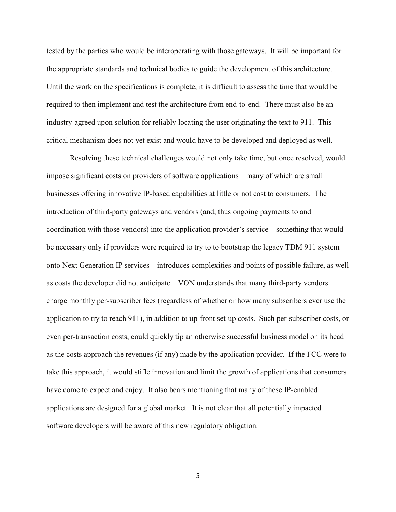tested by the parties who would be interoperating with those gateways. It will be important for the appropriate standards and technical bodies to guide the development of this architecture. Until the work on the specifications is complete, it is difficult to assess the time that would be required to then implement and test the architecture from end-to-end. There must also be an industry-agreed upon solution for reliably locating the user originating the text to 911. This critical mechanism does not yet exist and would have to be developed and deployed as well.

Resolving these technical challenges would not only take time, but once resolved, would impose significant costs on providers of software applications – many of which are small businesses offering innovative IP-based capabilities at little or not cost to consumers. The introduction of third-party gateways and vendors (and, thus ongoing payments to and coordination with those vendors) into the application provider's service – something that would be necessary only if providers were required to try to to bootstrap the legacy TDM 911 system onto Next Generation IP services – introduces complexities and points of possible failure, as well as costs the developer did not anticipate. VON understands that many third-party vendors charge monthly per-subscriber fees (regardless of whether or how many subscribers ever use the application to try to reach 911), in addition to up-front set-up costs. Such per-subscriber costs, or even per-transaction costs, could quickly tip an otherwise successful business model on its head as the costs approach the revenues (if any) made by the application provider. If the FCC were to take this approach, it would stifle innovation and limit the growth of applications that consumers have come to expect and enjoy. It also bears mentioning that many of these IP-enabled applications are designed for a global market. It is not clear that all potentially impacted software developers will be aware of this new regulatory obligation.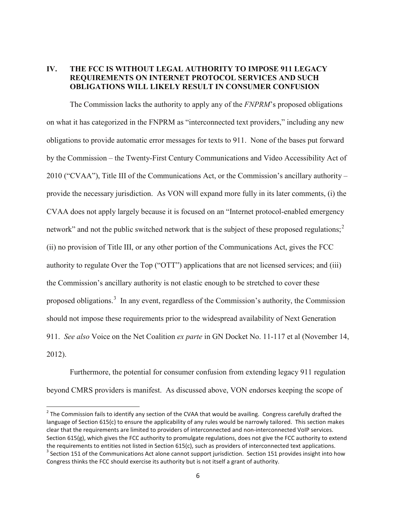# **IV. THE FCC IS WITHOUT LEGAL AUTHORITY TO IMPOSE 911 LEGACY REQUIREMENTS ON INTERNET PROTOCOL SERVICES AND SUCH OBLIGATIONS WILL LIKELY RESULT IN CONSUMER CONFUSION**

The Commission lacks the authority to apply any of the *FNPRM*'s proposed obligations on what it has categorized in the FNPRM as "interconnected text providers," including any new obligations to provide automatic error messages for texts to 911. None of the bases put forward by the Commission – the Twenty-First Century Communications and Video Accessibility Act of 2010 ("CVAA"), Title III of the Communications Act, or the Commission's ancillary authority – provide the necessary jurisdiction. As VON will expand more fully in its later comments, (i) the CVAA does not apply largely because it is focused on an "Internet protocol-enabled emergency network" and not the public switched network that is the subject of these proposed regulations;<sup>[2](#page-5-0)</sup> (ii) no provision of Title III, or any other portion of the Communications Act, gives the FCC authority to regulate Over the Top ("OTT") applications that are not licensed services; and (iii) the Commission's ancillary authority is not elastic enough to be stretched to cover these proposed obligations.<sup>[3](#page-5-1)</sup> In any event, regardless of the Commission's authority, the Commission should not impose these requirements prior to the widespread availability of Next Generation 911. *See also* Voice on the Net Coalition *ex parte* in GN Docket No. 11-117 et al (November 14, 2012).

Furthermore, the potential for consumer confusion from extending legacy 911 regulation beyond CMRS providers is manifest. As discussed above, VON endorses keeping the scope of

<span id="page-5-1"></span><span id="page-5-0"></span> $2$  The Commission fails to identify any section of the CVAA that would be availing. Congress carefully drafted the language of Section 615(c) to ensure the applicability of any rules would be narrowly tailored. This section makes clear that the requirements are limited to providers of interconnected and non-interconnected VoIP services. Section 615(g), which gives the FCC authority to promulgate regulations, does not give the FCC authority to extend the requirements to entities not listed in Section 615(c), such as providers of interconnected text applications.  $3$  Section 151 of the Communications Act alone cannot support jurisdiction. Section 151 provides insight into how Congress thinks the FCC should exercise its authority but is not itself a grant of authority.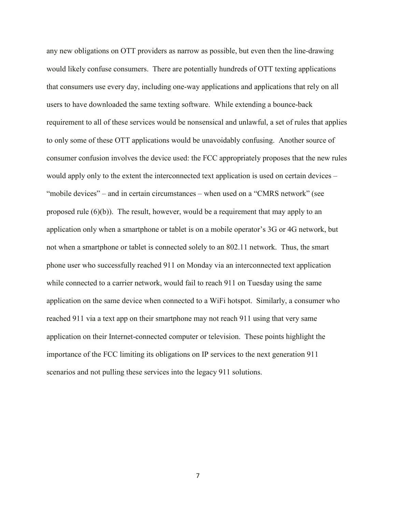any new obligations on OTT providers as narrow as possible, but even then the line-drawing would likely confuse consumers. There are potentially hundreds of OTT texting applications that consumers use every day, including one-way applications and applications that rely on all users to have downloaded the same texting software. While extending a bounce-back requirement to all of these services would be nonsensical and unlawful, a set of rules that applies to only some of these OTT applications would be unavoidably confusing. Another source of consumer confusion involves the device used: the FCC appropriately proposes that the new rules would apply only to the extent the interconnected text application is used on certain devices – "mobile devices" – and in certain circumstances – when used on a "CMRS network" (see proposed rule  $(6)(b)$ . The result, however, would be a requirement that may apply to an application only when a smartphone or tablet is on a mobile operator's 3G or 4G network, but not when a smartphone or tablet is connected solely to an 802.11 network. Thus, the smart phone user who successfully reached 911 on Monday via an interconnected text application while connected to a carrier network, would fail to reach 911 on Tuesday using the same application on the same device when connected to a WiFi hotspot. Similarly, a consumer who reached 911 via a text app on their smartphone may not reach 911 using that very same application on their Internet-connected computer or television. These points highlight the importance of the FCC limiting its obligations on IP services to the next generation 911 scenarios and not pulling these services into the legacy 911 solutions.